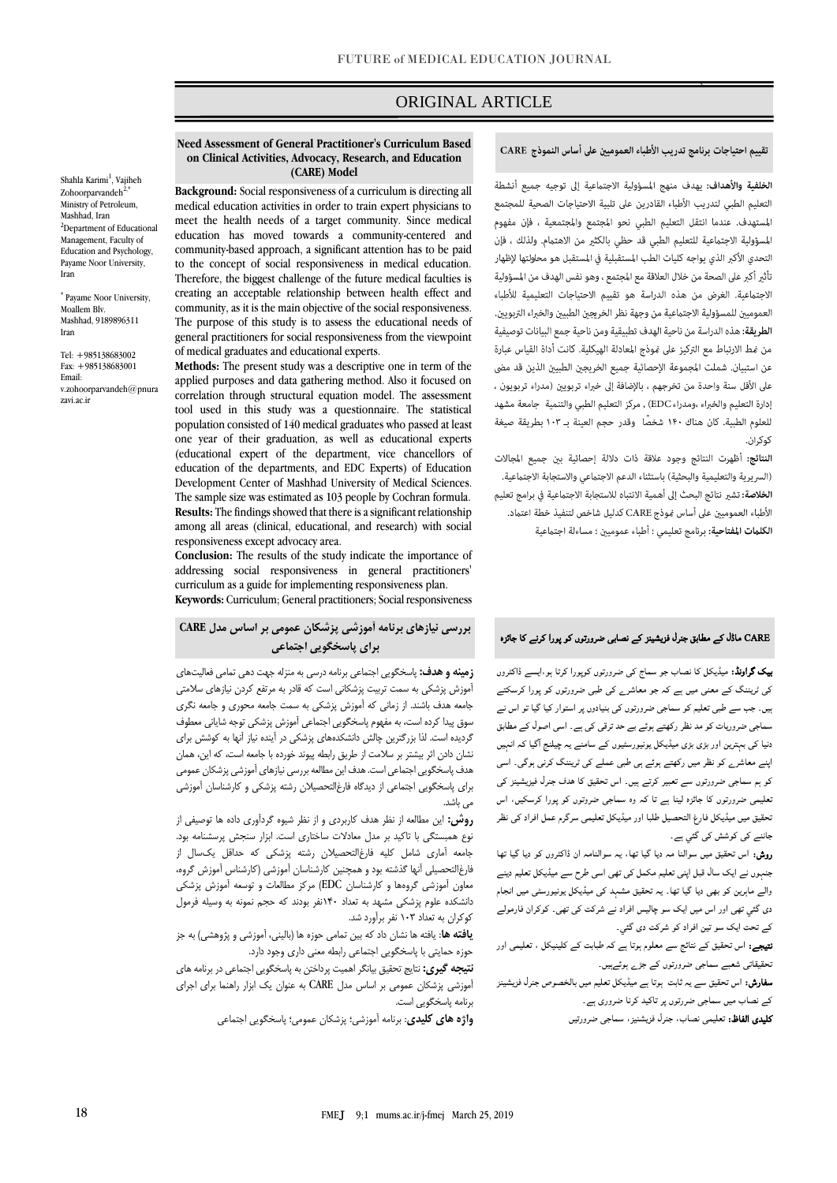# ORIGINAL ARTICLE

## تقييم احتياجات برنامج تدريب الأطباء العموميين على أساس النموذج CARE

`ص

الخلفية والأهداف: يهدف منهج المسؤولية الاجتماعية إلى توجيه جميع أنشطة التعليم الطبي لتدريب الأطباء القادرين على تلبية الاحتياجات الصحية للمجتمع المستهدف. عندما انتقل التعليم الطبي نحو المجتمع والمجتمعية ، فإن مفهوم المسؤولية الاجتماعية للتعليم الطبي قد حظى بالكثير من الاهتمام. ولذلك ، فإن التحدي الأكبر الذي يواجه كليات الطب المستقبلية في المستقبل هو محاولتها لإظهار .<br>تأثير أكبر على الصحة من خلال العلاقة مع المجتمع ، وهو نفس الهدف من المسؤولية الاجتماعية. الغرض من هذه الدراسة هو تقييم الاحتياجات التعليمية للأطباء العموميين للمسؤولية الاجتماعية من وجهة نظر الخريجين الطبيين والخبراء التربويين. الطريقة: هذه الدراسة من ناحية الهدف تطبيقية ومن ناحية جمع البيانات توصيفية من مْط الارتباط مع التركيز على مُوذج المعادلة الهيكلية. كانت أداة القياس عبارة عن استبيان. شملت المجموعة الإحصائية جميع الخريجين الطبيين الذين قد مضي على الأقل سنة واحدة من تخرجهم ، بالإضافة إلى خبراء تربويين (مدراء تربويون ، إدارة التعليم والخبراء ،ومدراء EDC) , مركز التعليم الطبي والتنمية جامعة مشهد للعلوم الطبية. كان هناك ١۴٠ شخصًا وقدر حجم العينة بـ ١٠٣ بطريقة صيغة کوکران.

النتائج: أظهرت النتائج وجود علاقة ذات دلالة إحصائية بين جميع المجالات (السريرية والتعليمية والبحثية) باستثناء الدعم الاجتماعي والاستجابة الاجتماعية. **الخلاصة:** تشير نتائج البحث إلى أهمية الانتباه للاستجابة الاجتماعية في برامج تعليم الأطباء العموميين على أساس فوذج CARE كدليل شاخص لتنفيذ خطة اعتماد. الكلمات المفتاحية: برنامج تعليمي ؛ أطباء عموميين ؛ مساءلة اجتماعية

# CARE ماڈل کے مطابق جنرل فزیشینز کے نصابی ضرورتوں کو پورا کرنے کا جائزہ

بیک گراونڈ: میڈیکل کا نصاب جو سماج کی ضرورتوں کوپورا کرتا ہو،ایسے ڈاکٹروں کی ٹریننگ کے معنی میں ہے کہ جو معاشرے کی طبی ضرورتوں کو پورا کرسکتے ہیں۔ جب سے طبی تعلیم کو سماجی ضرورتوں کی بنیادوں پر استوار کیا گيا تو اس نے سماجی ضروریات کو مد نظر رکھتے ہوئے بے حد ترقی کی ہے۔ اسی اصول کے مطابق دنیا کی بہترین اور بڑی بڑی میڈیکل یونیورسٹیوں کے سامنے یہ چیلنج ا گیا کہ انہیں اپنے معاشرے کو نظر میں رکھتے ہوئے ہی طبی عملے کی ٹریننگ کرنی ہوگی۔ اسی کو ہم سماجی ضرورتوں سے تعبیر کرتے ہیں۔ اس تحقیق کا ھدف جنرل فیزیشینز کی تعلیمی ضرورتوں کا جائزہ لینا ہے تا کہ وہ سماجی ضروتوں کو پورا کرسکیں، اس تحقیق میں میڈیکل فارغ التحصیل طلبا اور میڈیکل تعلیمی سرگرم عمل افراد کی نظر جاننے کی کوشش کی گئي ہے۔

روش: اس تحقیق میں سوالنا مہ دیا گيا تھا، یہ سوالنامہ ان ڈاکٹروں کو دیا گيا تھا جنہوں نے ایک سال قبل اپنی تعلیم مکمل کی تھی اسی طرح سے میڈیکل تعلیم دینے والے ماہرین کو بھی دیا گيا تھا۔ یہ تحقیق مشہد کی میڈیکل یونیورسٹی میں انجام دی گئي تھی اور اس میں ایک سو چالیس افراد نے شرکت کی تھی۔ کوکران فارمولے کے تحت ایک سو تین افراد کو شرکت دی گئي۔

۔<br>**نتیجے:** اس تحقیق کے نتائج سے معلوم ہوتا ہے کہ طبابت کے کلینیکل ، تعلیمی اور تحقیقاتی شعبے سماجی ضرورتوں کے جڑے ہوئےہيں۔

سفارش: اس تحقیق سے یہ ثابت ہوتا ہے میڈیکل تعلیم میں بالخصوص جنرل فزیشینز

کے نصاب میں سماجی ضررتوں پر تاکید کرنا ضروری ہے۔

کلیدی الفاظ: تعلیمی نصاب، جنرل فزیشنیز، سماجی ضرورتیں

#### **Need Assessment of General Practitioner's Curriculum Based on Clinical Activities, Advocacy, Research, and Education (CARE) Model**

**Background:** Social responsiveness of a curriculum is directing all medical education activities in order to train expert physicians to meet the health needs of a target community. Since medical education has moved towards a community-centered and community-based approach, a significant attention has to be paid to the concept of social responsiveness in medical education. Therefore, the biggest challenge of the future medical faculties is creating an acceptable relationship between health effect and community, as it is the main objective of the social responsiveness. The purpose of this study is to assess the educational needs of general practitioners for social responsiveness from the viewpoint of medical graduates and educational experts.

**Methods:** The present study was a descriptive one in term of the applied purposes and data gathering method. Also it focused on correlation through structural equation model. The assessment tool used in this study was a questionnaire. The statistical population consisted of 140 medical graduates who passed at least one year of their graduation, as well as educational experts (educational expert of the department, vice chancellors of education of the departments, and EDC Experts) of Education Development Center of Mashhad University of Medical Sciences. The sample size was estimated as 103 people by Cochran formula. **Results:** The findings showed that there is a significant relationship among all areas (clinical, educational, and research) with social responsiveness except advocacy area.

**Conclusion:** The results of the study indicate the importance of addressing social responsiveness in general practitioners' curriculum as a guide for implementing responsiveness plan. **Keywords:** Curriculum; General practitioners; Social responsiveness

# **بررسی نیازهای برنامه آموزشی پزشکان عمومی بر اساس مدل CARE برای پاسخگویی اجتماعی**

**زمینه و هدف:** پاسخگويي اجتماعي برنامه درسي به منزله جهت دهي تمامي فعاليتهاي آموزش پزشكي به سمت تربيت پزشكاني است كه قادر به مرتفع كردن نيازهاي سالمتي جامعه هدف باشند. از زماني كه آموزش پزشكي به سمت جامعه محوري و جامعه نگري سوق پيدا كرده است، به مفهوم پاسخگويي اجتماعي آموزش پزشكي توجه شاياني معطوف گرديده است. لذا بزرگترين چالش دانشكدههاي پزشكي در آينده نياز آنها به كوشش براي نشان دادن اثر بيشتر بر سالمت از طريق رابطه پيوند خورده با جامعه است، كه اين، همان هدف پاسخگويي اجتماعي است. هدف اين مطالعه بررسي نيازهاي آموزشي پزشكان عمومي براي پاسخگويي اجتماعي از ديدگاه فارغالتحصيالن رشته پزشكي و كارشناسان آموزشي مي باشد.

**روش:** اين مطالعه از نظر هدف كاربردي و از نظر شيوه گردآوري داده ها توصيفي از نوع همبستگي با تاكيد بر مدل معادالت ساختاري است. ابزار سنجش پرسشنامه بود. جامعه آماري شامل كليه فارغالتحصيالن رشته پزشكي كه حداقل يکسال از فارغالتحصيلي آنها گذشته بود و همچنين كارشناسان آموزشي )كارشناس آموزش گروه، معاون آموزشي گروهها و كارشناسان EDC )مركز مطالعات و توسعه آموزش پزشكي دانشكده علوم پزشكي مشهد به تعداد 140نفر بودند كه حجم نمونه به وسيله فرمول كوكران به تعداد 103 نفر برآورد شد.

**یافته ها**: يافته ها نشان داد كه بين تمامي حوزه ها )باليني، آموزشي و پژوهشي( به جز حوزه حمايتي با پاسخگويي اجتماعي رابطه معني داري وجود دارد.

**نتیجه گیری:** نتايج تحقيق بيانگر اهميت پرداختن به پاسخگويي اجتماعي در برنامه هاي آموزشي پزشكان عمومي بر اساس مدل CARE به عنوان يک ابزار راهنما براي اجراي برنامه پاسخگويي است.

**واژه های کلیدی**: برنامه آموزشي؛ پزشكان عمومي؛ پاسخگويي اجتماعي

Shahla Karimi<sup>1</sup>, Vajiheh Zohoorparvandeh $2$ , Ministry of Petroleum, Mashhad, Iran <sup>2</sup>Department of Educational Management, Faculty of Education and Psychology, Payame Noor University, Iran

\* Payame Noor University, Moallem Blv. Mashhad, 9189896311 Iran

Tel: +985138683002 Fax: +985138683001 Email: v.zohoorparvandeh@pnura zavi.ac.ir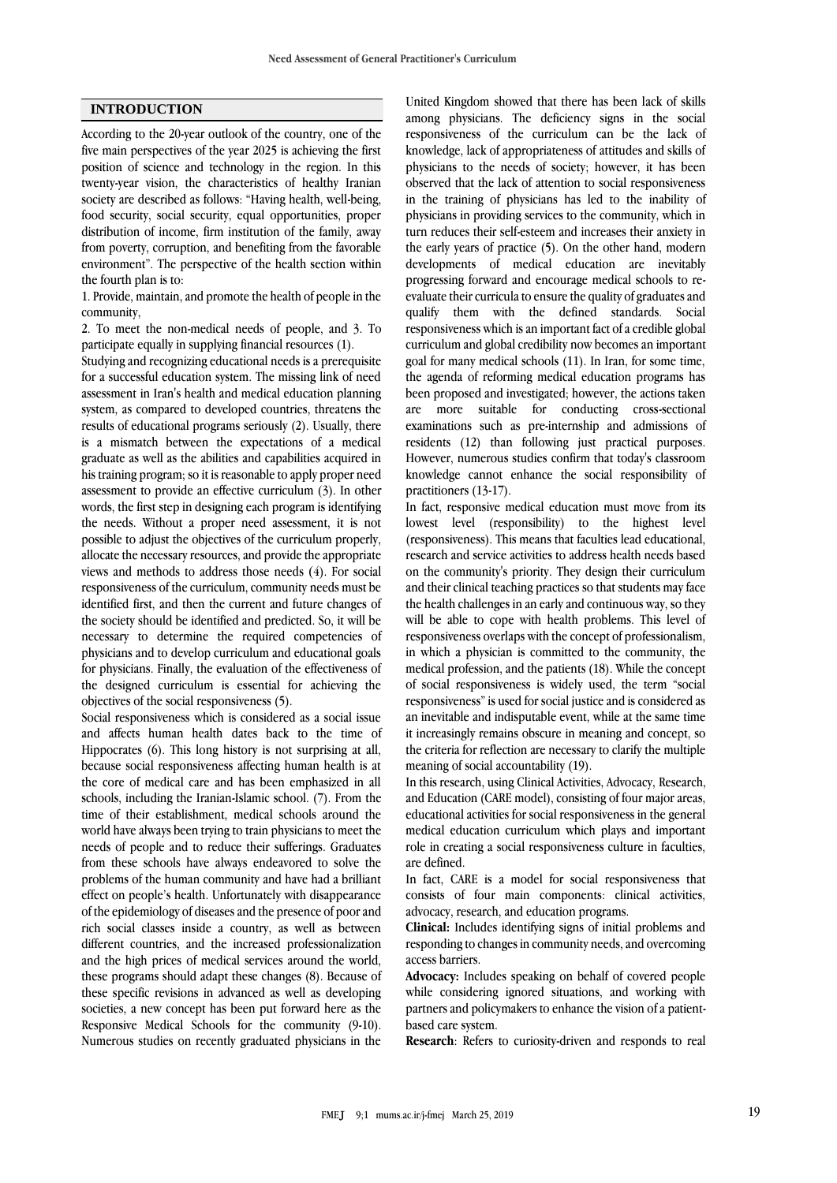#### **INTRODUCTION**

According to the 20-year outlook of the country, one of the five main perspectives of the year 2025 is achieving the first position of science and technology in the region. In this twenty-year vision, the characteristics of healthy Iranian society are described as follows: "Having health, well-being, food security, social security, equal opportunities, proper distribution of income, firm institution of the family, away from poverty, corruption, and benefiting from the favorable environment". The perspective of the health section within the fourth plan is to:

1. Provide, maintain, and promote the health of people in the community,

2. To meet the non-medical needs of people, and 3. To participate equally in supplying financial resources (1).

Studying and recognizing educational needs is a prerequisite for a successful education system. The missing link of need assessment in Iran's health and medical education planning system, as compared to developed countries, threatens the results of educational programs seriously (2). Usually, there is a mismatch between the expectations of a medical graduate as well as the abilities and capabilities acquired in his training program; so it is reasonable to apply proper need assessment to provide an effective curriculum (3). In other words, the first step in designing each program is identifying the needs. Without a proper need assessment, it is not possible to adjust the objectives of the curriculum properly, allocate the necessary resources, and provide the appropriate views and methods to address those needs  $(4)$ . For social responsiveness of the curriculum, community needs must be identified first, and then the current and future changes of the society should be identified and predicted. So, it will be necessary to determine the required competencies of physicians and to develop curriculum and educational goals for physicians. Finally, the evaluation of the effectiveness of the designed curriculum is essential for achieving the objectives of the social responsiveness (5).

Social responsiveness which is considered as a social issue and affects human health dates back to the time of Hippocrates (6). This long history is not surprising at all, because social responsiveness affecting human health is at the core of medical care and has been emphasized in all schools, including the Iranian-Islamic school. (7). From the time of their establishment, medical schools around the world have always been trying to train physicians to meet the needs of people and to reduce their sufferings. Graduates from these schools have always endeavored to solve the problems of the human community and have had a brilliant effect on people's health. Unfortunately with disappearance of the epidemiology of diseases and the presence of poor and rich social classes inside a country, as well as between different countries, and the increased professionalization and the high prices of medical services around the world, these programs should adapt these changes (8). Because of these specific revisions in advanced as well as developing societies, a new concept has been put forward here as the Responsive Medical Schools for the community (9-10). Numerous studies on recently graduated physicians in the

United Kingdom showed that there has been lack of skills among physicians. The deficiency signs in the social responsiveness of the curriculum can be the lack of knowledge, lack of appropriateness of attitudes and skills of physicians to the needs of society; however, it has been observed that the lack of attention to social responsiveness in the training of physicians has led to the inability of physicians in providing services to the community, which in turn reduces their self-esteem and increases their anxiety in the early years of practice (5). On the other hand, modern developments of medical education are inevitably progressing forward and encourage medical schools to reevaluate their curricula to ensure the quality of graduates and qualify them with the defined standards. Social responsiveness which is an important fact of a credible global curriculum and global credibility now becomes an important goal for many medical schools (11). In Iran, for some time, the agenda of reforming medical education programs has been proposed and investigated; however, the actions taken are more suitable for conducting cross-sectional examinations such as pre-internship and admissions of residents (12) than following just practical purposes. However, numerous studies confirm that today's classroom knowledge cannot enhance the social responsibility of practitioners (13-17).

In fact, responsive medical education must move from its lowest level (responsibility) to the highest level (responsiveness). This means that faculties lead educational, research and service activities to address health needs based on the community's priority. They design their curriculum and their clinical teaching practices so that students may face the health challenges in an early and continuous way, so they will be able to cope with health problems. This level of responsiveness overlaps with the concept of professionalism, in which a physician is committed to the community, the medical profession, and the patients (18). While the concept of social responsiveness is widely used, the term "social responsiveness" is used for social justice and is considered as an inevitable and indisputable event, while at the same time it increasingly remains obscure in meaning and concept, so the criteria for reflection are necessary to clarify the multiple meaning of social accountability (19).

In this research, using Clinical Activities, Advocacy, Research, and Education (CARE model), consisting of four major areas, educational activities for social responsiveness in the general medical education curriculum which plays and important role in creating a social responsiveness culture in faculties, are defined.

In fact, CARE is a model for social responsiveness that consists of four main components: clinical activities, advocacy, research, and education programs.

**Clinical:** Includes identifying signs of initial problems and responding to changes in community needs, and overcoming access barriers.

**Advocacy:** Includes speaking on behalf of covered people while considering ignored situations, and working with partners and policymakers to enhance the vision of a patientbased care system.

**Research**: Refers to curiosity-driven and responds to real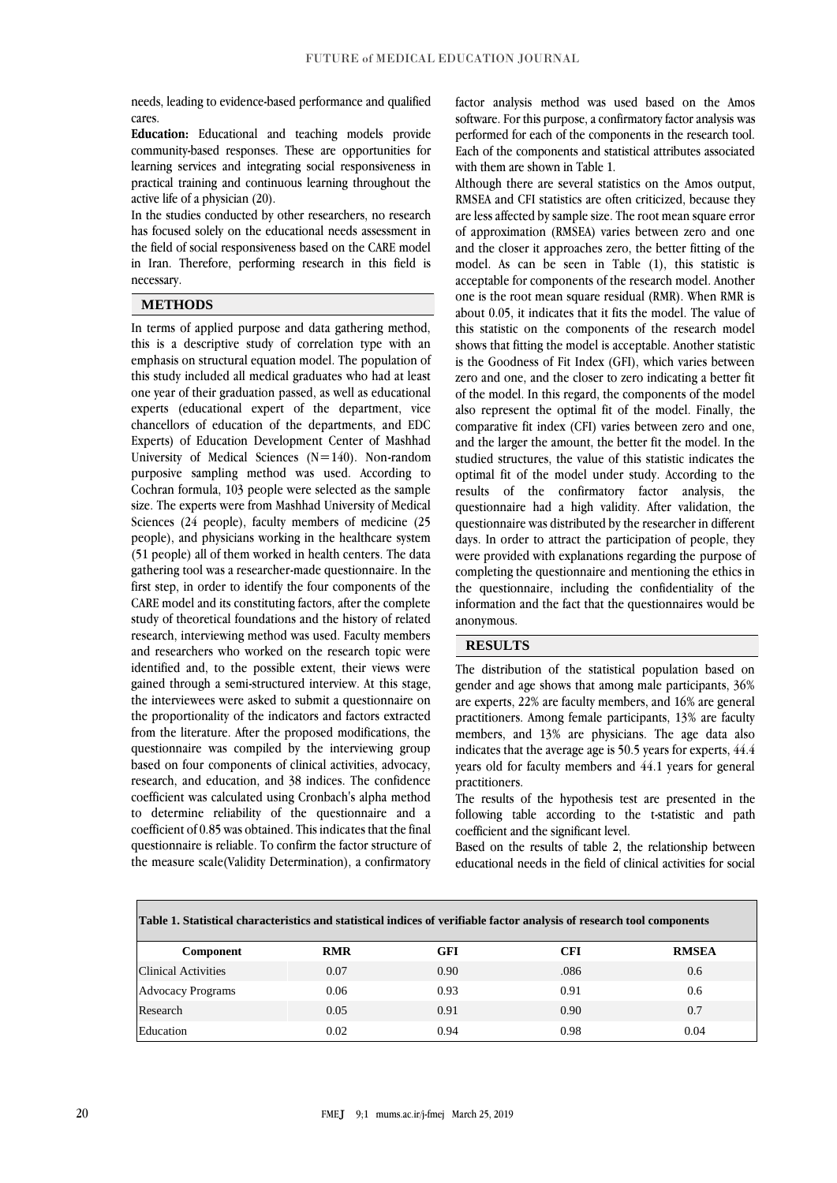needs, leading to evidence-based performance and qualified cares.

**Education:** Educational and teaching models provide community-based responses. These are opportunities for learning services and integrating social responsiveness in practical training and continuous learning throughout the active life of a physician (20).

In the studies conducted by other researchers, no research has focused solely on the educational needs assessment in the field of social responsiveness based on the CARE model in Iran. Therefore, performing research in this field is necessary.

#### **METHODS**

In terms of applied purpose and data gathering method, this is a descriptive study of correlation type with an emphasis on structural equation model. The population of this study included all medical graduates who had at least one year of their graduation passed, as well as educational experts (educational expert of the department, vice chancellors of education of the departments, and EDC Experts) of Education Development Center of Mashhad University of Medical Sciences  $(N=140)$ . Non-random purposive sampling method was used. According to Cochran formula, 103 people were selected as the sample size. The experts were from Mashhad University of Medical Sciences (24 people), faculty members of medicine (25 people), and physicians working in the healthcare system (51 people) all of them worked in health centers. The data gathering tool was a researcher-made questionnaire. In the first step, in order to identify the four components of the CARE model and its constituting factors, after the complete study of theoretical foundations and the history of related research, interviewing method was used. Faculty members and researchers who worked on the research topic were identified and, to the possible extent, their views were gained through a semi-structured interview. At this stage, the interviewees were asked to submit a questionnaire on the proportionality of the indicators and factors extracted from the literature. After the proposed modifications, the questionnaire was compiled by the interviewing group based on four components of clinical activities, advocacy, research, and education, and 38 indices. The confidence coefficient was calculated using Cronbach's alpha method to determine reliability of the questionnaire and a coefficient of 0.85 was obtained. This indicates that the final questionnaire is reliable. To confirm the factor structure of the measure scale(Validity Determination), a confirmatory

factor analysis method was used based on the Amos software. For this purpose, a confirmatory factor analysis was performed for each of the components in the research tool. Each of the components and statistical attributes associated with them are shown in Table 1.

Although there are several statistics on the Amos output, RMSEA and CFI statistics are often criticized, because they are less affected by sample size. The root mean square error of approximation (RMSEA) varies between zero and one and the closer it approaches zero, the better fitting of the model. As can be seen in Table (1), this statistic is acceptable for components of the research model. Another one is the root mean square residual (RMR). When RMR is about 0.05, it indicates that it fits the model. The value of this statistic on the components of the research model shows that fitting the model is acceptable. Another statistic is the Goodness of Fit Index (GFI), which varies between zero and one, and the closer to zero indicating a better fit of the model. In this regard, the components of the model also represent the optimal fit of the model. Finally, the comparative fit index (CFI) varies between zero and one, and the larger the amount, the better fit the model. In the studied structures, the value of this statistic indicates the optimal fit of the model under study. According to the results of the confirmatory factor analysis, the questionnaire had a high validity. After validation, the questionnaire was distributed by the researcher in different days. In order to attract the participation of people, they were provided with explanations regarding the purpose of completing the questionnaire and mentioning the ethics in the questionnaire, including the confidentiality of the information and the fact that the questionnaires would be anonymous.

## **RESULTS**

The distribution of the statistical population based on gender and age shows that among male participants, 36% are experts, 22% are faculty members, and 16% are general practitioners. Among female participants, 13% are faculty members, and 13% are physicians. The age data also indicates that the average age is 50.5 years for experts, 44.4 years old for faculty members and 44.1 years for general practitioners.

The results of the hypothesis test are presented in the following table according to the t-statistic and path coefficient and the significant level.

Based on the results of table 2, the relationship between educational needs in the field of clinical activities for social

| Table 1. Statistical characteristics and statistical indices of verifiable factor analysis of research tool components |            |      |      |              |
|------------------------------------------------------------------------------------------------------------------------|------------|------|------|--------------|
| <b>Component</b>                                                                                                       | <b>RMR</b> | GFI  | CFI  | <b>RMSEA</b> |
| <b>Clinical Activities</b>                                                                                             | 0.07       | 0.90 | .086 | 0.6          |
| <b>Advocacy Programs</b>                                                                                               | 0.06       | 0.93 | 0.91 | 0.6          |
| Research                                                                                                               | 0.05       | 0.91 | 0.90 | 0.7          |
| Education                                                                                                              | 0.02       | 0.94 | 0.98 | 0.04         |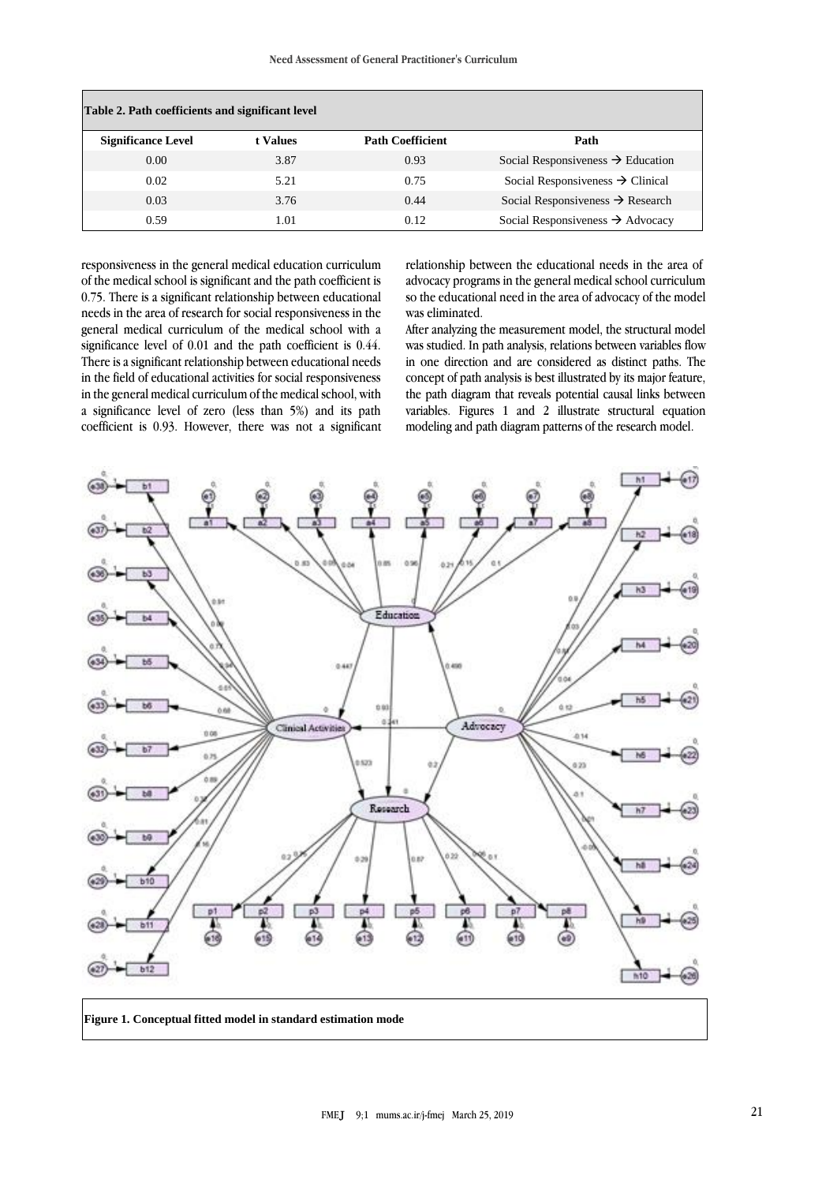| Table 2. Path coefficients and significant level |          |                         |                                               |
|--------------------------------------------------|----------|-------------------------|-----------------------------------------------|
| <b>Significance Level</b>                        | t Values | <b>Path Coefficient</b> | Path                                          |
| 0.00                                             | 3.87     | 0.93                    | Social Responsiveness $\rightarrow$ Education |
| 0.02                                             | 5.21     | 0.75                    | Social Responsiveness $\rightarrow$ Clinical  |
| 0.03                                             | 3.76     | 0.44                    | Social Responsiveness $\rightarrow$ Research  |
| 0.59                                             | 1.01     | 0.12                    | Social Responsiveness $\rightarrow$ Advocacy  |

responsiveness in the general medical education curriculum of the medical school is significant and the path coefficient is 0.75. There is a significant relationship between educational needs in the area of research for social responsiveness in the general medical curriculum of the medical school with a significance level of 0.01 and the path coefficient is 0.44. There is a significant relationship between educational needs in the field of educational activities for social responsiveness in the general medical curriculum of the medical school, with a significance level of zero (less than 5%) and its path coefficient is 0.93. However, there was not a significant

relationship between the educational needs in the area of advocacy programs in the general medical school curriculum so the educational need in the area of advocacy of the model was eliminated.

After analyzing the measurement model, the structural model was studied. In path analysis, relations between variables flow in one direction and are considered as distinct paths. The concept of path analysis is best illustrated by its major feature, the path diagram that reveals potential causal links between variables. Figures 1 and 2 illustrate structural equation modeling and path diagram patterns of the research model.



**Figure 1. Conceptual fitted model in standard estimation mode**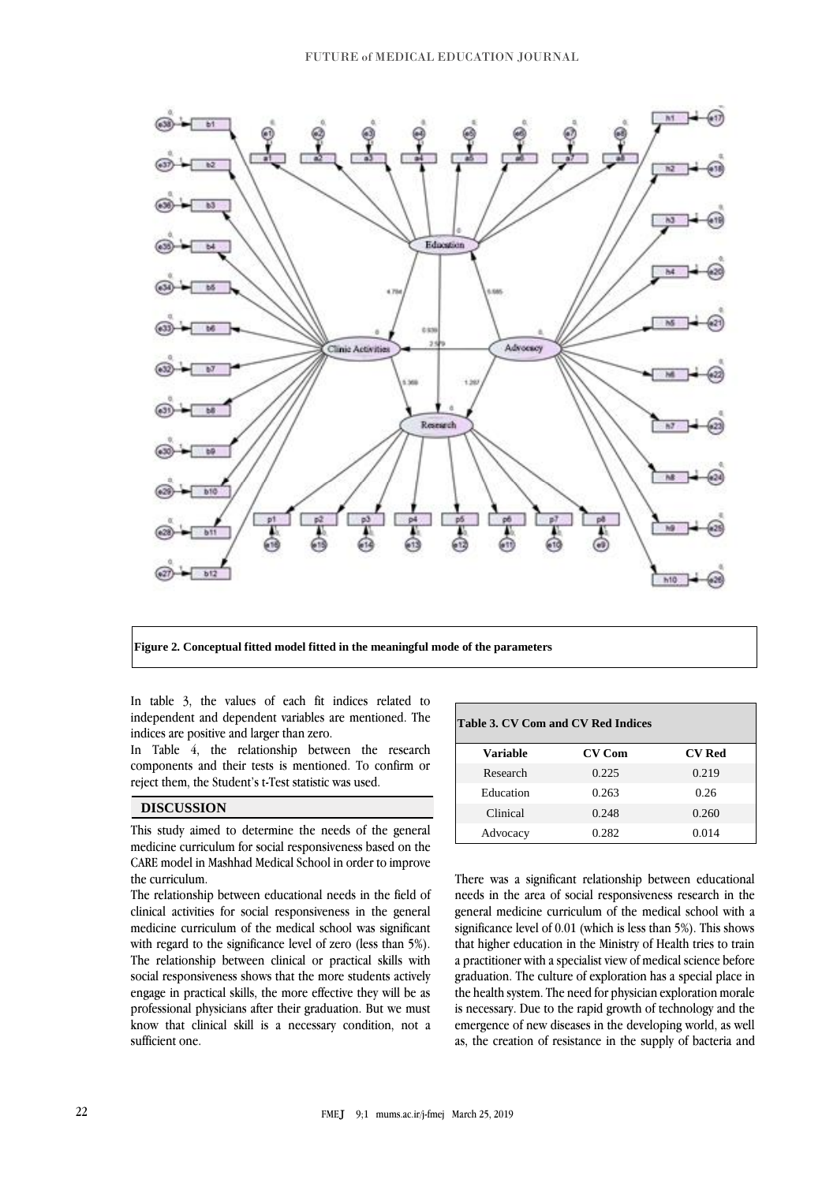

**Figure 2. Conceptual fitted model fitted in the meaningful mode of the parameters**

In table 3, the values of each fit indices related to independent and dependent variables are mentioned. The indices are positive and larger than zero.

In Table 4, the relationship between the research components and their tests is mentioned. To confirm or reject them, the Student's t-Test statistic was used.

## **DISCUSSION**

This study aimed to determine the needs of the general medicine curriculum for social responsiveness based on the CARE model in Mashhad Medical School in order to improve the curriculum.

The relationship between educational needs in the field of clinical activities for social responsiveness in the general medicine curriculum of the medical school was significant with regard to the significance level of zero (less than 5%). The relationship between clinical or practical skills with social responsiveness shows that the more students actively engage in practical skills, the more effective they will be as professional physicians after their graduation. But we must know that clinical skill is a necessary condition, not a sufficient one.

| Table 3. CV Com and CV Red Indices |               |               |  |
|------------------------------------|---------------|---------------|--|
| Variable                           | <b>CV Com</b> | <b>CV Red</b> |  |
| Research                           | 0.225         | 0.219         |  |
| Education                          | 0.263         | 0.26          |  |
| Clinical                           | 0.248         | 0.260         |  |
| Advocacy                           | 0.282         | 0.014         |  |

There was a significant relationship between educational needs in the area of social responsiveness research in the general medicine curriculum of the medical school with a significance level of 0.01 (which is less than 5%). This shows that higher education in the Ministry of Health tries to train a practitioner with a specialist view of medical science before graduation. The culture of exploration has a special place in the health system. The need for physician exploration morale is necessary. Due to the rapid growth of technology and the emergence of new diseases in the developing world, as well as, the creation of resistance in the supply of bacteria and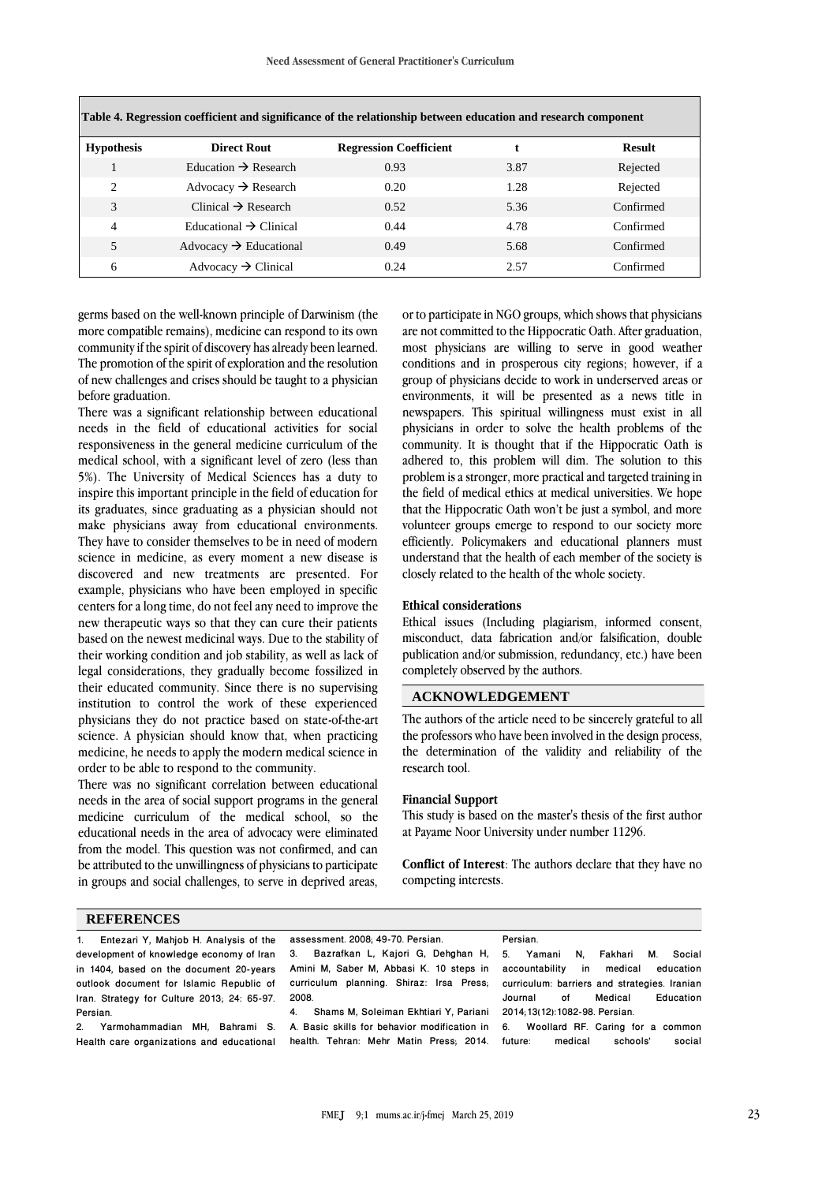| Table 4. Regression coefficient and significance of the relationship between education and research component |                                    |                               |      |           |
|---------------------------------------------------------------------------------------------------------------|------------------------------------|-------------------------------|------|-----------|
| <b>Hypothesis</b>                                                                                             | <b>Direct Rout</b>                 | <b>Regression Coefficient</b> |      | Result    |
|                                                                                                               | Education $\rightarrow$ Research   | 0.93                          | 3.87 | Rejected  |
| $\overline{c}$                                                                                                | Advocacy $\rightarrow$ Research    | 0.20                          | 1.28 | Rejected  |
| 3                                                                                                             | Clinical $\rightarrow$ Research    | 0.52                          | 5.36 | Confirmed |
| 4                                                                                                             | Educational $\rightarrow$ Clinical | 0.44                          | 4.78 | Confirmed |
| 5                                                                                                             | Advocacy $\rightarrow$ Educational | 0.49                          | 5.68 | Confirmed |
| 6                                                                                                             | Advocacy $\rightarrow$ Clinical    | 0.24                          | 2.57 | Confirmed |

germs based on the well-known principle of Darwinism (the more compatible remains), medicine can respond to its own community if the spirit of discovery has already been learned. The promotion of the spirit of exploration and the resolution of new challenges and crises should be taught to a physician

There was a significant relationship between educational needs in the field of educational activities for social responsiveness in the general medicine curriculum of the medical school, with a significant level of zero (less than 5%). The University of Medical Sciences has a duty to inspire this important principle in the field of education for its graduates, since graduating as a physician should not make physicians away from educational environments. They have to consider themselves to be in need of modern science in medicine, as every moment a new disease is discovered and new treatments are presented. For example, physicians who have been employed in specific centers for a long time, do not feel any need to improve the new therapeutic ways so that they can cure their patients based on the newest medicinal ways. Due to the stability of their working condition and job stability, as well as lack of legal considerations, they gradually become fossilized in their educated community. Since there is no supervising institution to control the work of these experienced physicians they do not practice based on state-of-the-art science. A physician should know that, when practicing medicine, he needs to apply the modern medical science in order to be able to respond to the community.

There was no significant correlation between educational needs in the area of social support programs in the general medicine curriculum of the medical school, so the educational needs in the area of advocacy were eliminated from the model. This question was not confirmed, and can be attributed to the unwillingness of physicians to participate in groups and social challenges, to serve in deprived areas, or to participate in NGO groups, which shows that physicians are not committed to the Hippocratic Oath. After graduation, most physicians are willing to serve in good weather conditions and in prosperous city regions; however, if a group of physicians decide to work in underserved areas or environments, it will be presented as a news title in newspapers. This spiritual willingness must exist in all physicians in order to solve the health problems of the community. It is thought that if the Hippocratic Oath is adhered to, this problem will dim. The solution to this problem is a stronger, more practical and targeted training in the field of medical ethics at medical universities. We hope that the Hippocratic Oath won't be just a symbol, and more volunteer groups emerge to respond to our society more efficiently. Policymakers and educational planners must understand that the health of each member of the society is closely related to the health of the whole society.

#### **Ethical considerations**

Ethical issues (Including plagiarism, informed consent, misconduct, data fabrication and/or falsification, double publication and/or submission, redundancy, etc.) have been completely observed by the authors.

#### **ACKNOWLEDGEMENT**

The authors of the article need to be sincerely grateful to all the professors who have been involved in the design process, the determination of the validity and reliability of the research tool.

#### **Financial Support**

This study is based on the master's thesis of the first author at Payame Noor University under number 11296.

**Conflict of Interest**: The authors declare that they have no competing interests.

### **REFERENCES**

before graduation.

| 1. Entezari Y, Mahjob H. Analysis of the    | assessment. 2008; 49-70. Persian.                                                 | Persian.                                     |
|---------------------------------------------|-----------------------------------------------------------------------------------|----------------------------------------------|
| development of knowledge economy of Iran    | 3. Bazrafkan L, Kajori G, Dehghan H, 5. Yamani N,                                 | Fakhari<br>М.<br>Social                      |
| in 1404, based on the document 20-years     | Amini M, Saber M, Abbasi K. 10 steps in                                           | in medical<br>accountability<br>education    |
| outlook document for Islamic Republic of    | curriculum planning. Shiraz: Irsa Press,                                          | curriculum: barriers and strategies. Iranian |
| Iran. Strategy for Culture 2013; 24: 65-97. | 2008.                                                                             | Education<br>Medical<br>οf<br>Journal        |
| Persian.                                    | Shams M, Soleiman Ekhtiari Y, Pariani 2014;13(12):1082-98. Persian.<br>4.         |                                              |
|                                             | 2. Yarmohammadian MH, Bahrami S. A. Basic skills for behavior modification in 6.  | Woollard RF. Caring for a common             |
|                                             | Health care organizations and educational health. Tehran: Mehr Matin Press, 2014. | social<br>future: medical<br>schools'        |
|                                             |                                                                                   |                                              |